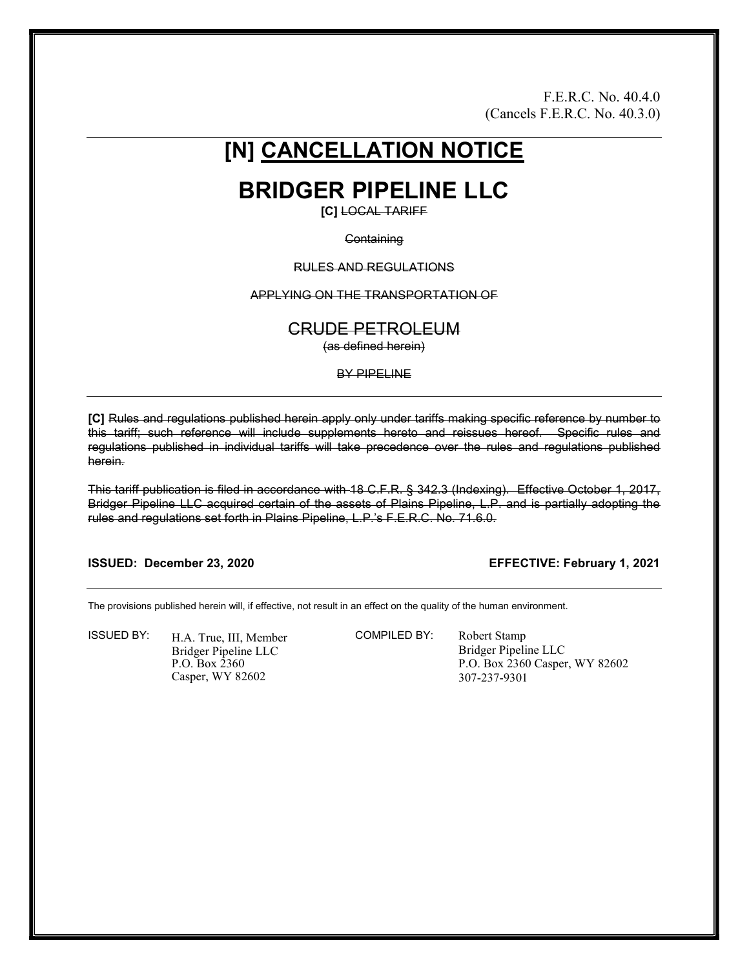F.E.R.C. No. 40.4.0 (Cancels F.E.R.C. No. 40.3.0)

# [N] CANCELLATION NOTICE

BRIDGER PIPELINE LLC

[C] LOCAL TARIFF

#### **Containing**

#### RULES AND REGULATIONS

#### APPLYING ON THE TRANSPORTATION OF

### CRUDE PETROLEUM

(as defined herein)

#### BY PIPELINE

[C] Rules and regulations published herein apply only under tariffs making specific reference by number to this tariff; such reference will include supplements hereto and reissues hereof. Specific rules and regulations published in individual tariffs will take precedence over the rules and regulations published herein.

This tariff publication is filed in accordance with 18 C.F.R. § 342.3 (Indexing). Effective October 1, 2017, Bridger Pipeline LLC acquired certain of the assets of Plains Pipeline, L.P. and is partially adopting the rules and regulations set forth in Plains Pipeline, L.P.'s F.E.R.C. No. 71.6.0.

#### ISSUED: December 23, 2020 EFFECTIVE: February 1, 2021

The provisions published herein will, if effective, not result in an effect on the quality of the human environment.

ISSUED BY: H.A. True, III, Member Bridger Pipeline LLC P.O. Box 2360 Casper, WY 82602

COMPILED BY: Robert Stamp

Bridger Pipeline LLC P.O. Box 2360 Casper, WY 82602 307-237-9301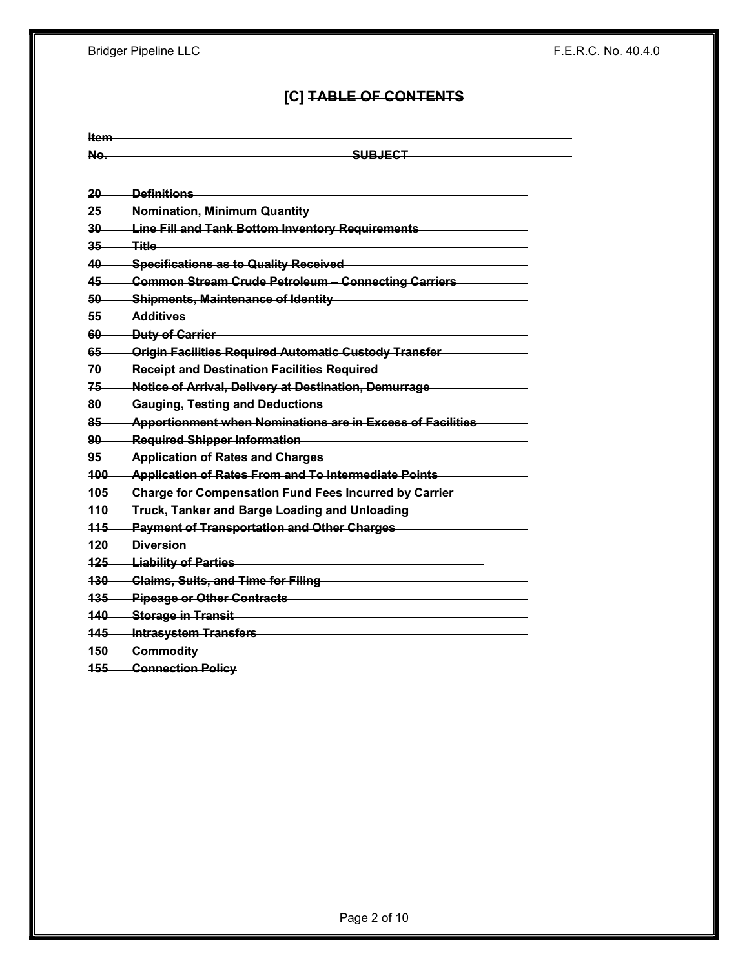Bridger Pipeline LLC **F.E.R.C. No. 40.4.0** 

## [C] TABLE OF CONTENTS

| Item      |                                                                                      |
|-----------|--------------------------------------------------------------------------------------|
| No.       | <u>SUBJECT</u>                                                                       |
|           |                                                                                      |
| 20        | <u> Definitions</u>                                                                  |
| 25        | Nomination, Minimum Quantity                                                         |
| 30        | Line Fill and Tank Bottom Inventory Requirements                                     |
| 35        | Title.                                                                               |
| 40        | <b>Specifications as to Quality Received</b>                                         |
| 45.       | Common Stream Crude Petroleum - Connecting Carriers                                  |
| 50        | <b>Shipments, Maintenance of Identity</b>                                            |
| 55-       | Additives                                                                            |
| 60—       | <b>Duty of Carrier</b>                                                               |
| 65        | <b>Origin Facilities Required Automatic Custody Transfer</b>                         |
| 70        | <b>Receipt and Destination Facilities Required</b>                                   |
| $75-$     | Notice of Arrival, Delivery at Destination, Demurrage                                |
| 80        | Gauging, Testing and Deductions                                                      |
| $85-$     | <b>Apportionment when Nominations are in Excess of Facilities</b>                    |
| $90 -$    | <b>Required Shipper Information</b>                                                  |
| $95-$     | <b>Application of Rates and Charges</b>                                              |
| $100 -$   | <b>Application of Rates From and To Intermediate Points</b>                          |
| $105$ $-$ | Charge for Compensation Fund Fees Incurred by Carrier                                |
|           | <b>Truck, Tanker and Barge Loading and Unloading Truck, Tanker and Barge Loading</b> |
| $115 -$   | <b>Payment of Transportation and Other Charges</b>                                   |
| $120 -$   | <b>Diversion</b>                                                                     |
| $125 -$   | <b>Liability of Parties</b>                                                          |
| $430 -$   | <b>Claims, Suits, and Time for Filing</b>                                            |
| $135 -$   | <b>Pipeage or Other Contracts</b>                                                    |
| 140       | <b>Storage in Transit</b>                                                            |
| 145       | <b>Intrasystem Transfers</b>                                                         |
| $150 -$   | <b>Commodity</b>                                                                     |
|           |                                                                                      |

155 Connection Policy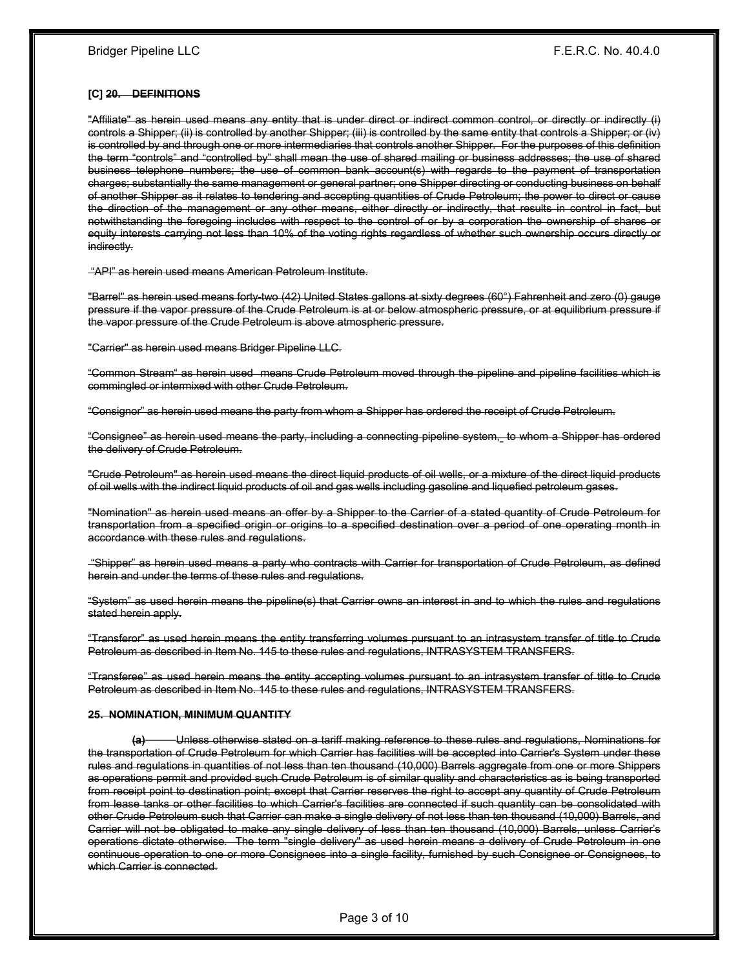#### [C] 20. DEFINITIONS

"Affiliate" as herein used means any entity that is under direct or indirect common control, or directly or indirectly (i) controls a Shipper; (ii) is controlled by another Shipper; (iii) is controlled by the same entity that controls a Shipper; or (iv) is controlled by and through one or more intermediaries that controls another Shipper. For the purposes of this definition the term "controls" and "controlled by" shall mean the use of shared mailing or business addresses; the use of shared business telephone numbers; the use of common bank account(s) with regards to the payment of transportation charges; substantially the same management or general partner; one Shipper directing or conducting business on behalf of another Shipper as it relates to tendering and accepting quantities of Crude Petroleum; the power to direct or cause the direction of the management or any other means, either directly or indirectly, that results in control in fact, but notwithstanding the foregoing includes with respect to the control of or by a corporation the ownership of shares or equity interests carrying not less than 10% of the voting rights regardless of whether such ownership occurs directly or indirectly.

"API" as herein used means American Petroleum Institute.

"Barrel" as herein used means forty-two (42) United States gallons at sixty degrees (60°) Fahrenheit and zero (0) gauge pressure if the vapor pressure of the Crude Petroleum is at or below atmospheric pressure, or at equilibrium pressure if the vapor pressure of the Crude Petroleum is above atmospheric pressure.

"Carrier" as herein used means Bridger Pipeline LLC.

"Common Stream" as herein used means Crude Petroleum moved through the pipeline and pipeline facilities which is commingled or intermixed with other Crude Petroleum.

"Consignor" as herein used means the party from whom a Shipper has ordered the receipt of Crude Petroleum.

"Consignee" as herein used means the party, including a connecting pipeline system, to whom a Shipper has ordered the delivery of Crude Petroleum.

"Crude Petroleum" as herein used means the direct liquid products of oil wells, or a mixture of the direct liquid products of oil wells with the indirect liquid products of oil and gas wells including gasoline and liquefied petroleum gases.

"Nomination" as herein used means an offer by a Shipper to the Carrier of a stated quantity of Crude Petroleum for transportation from a specified origin or origins to a specified destination over a period of one operating month in accordance with these rules and regulations.

 "Shipper" as herein used means a party who contracts with Carrier for transportation of Crude Petroleum, as defined herein and under the terms of these rules and regulations.

"System" as used herein means the pipeline(s) that Carrier owns an interest in and to which the rules and regulations stated herein apply.

"Transferor" as used herein means the entity transferring volumes pursuant to an intrasystem transfer of title to Crude Petroleum as described in Item No. 145 to these rules and regulations, INTRASYSTEM TRANSFERS.

"Transferee" as used herein means the entity accepting volumes pursuant to an intrasystem transfer of title to Crude Petroleum as described in Item No. 145 to these rules and regulations, INTRASYSTEM TRANSFERS.

#### 25. NOMINATION, MINIMUM QUANTITY

(a) Unless otherwise stated on a tariff making reference to these rules and regulations, Nominations for the transportation of Crude Petroleum for which Carrier has facilities will be accepted into Carrier's System under these rules and regulations in quantities of not less than ten thousand (10,000) Barrels aggregate from one or more Shippers as operations permit and provided such Crude Petroleum is of similar quality and characteristics as is being transported from receipt point to destination point; except that Carrier reserves the right to accept any quantity of Crude Petroleum from lease tanks or other facilities to which Carrier's facilities are connected if such quantity can be consolidated with other Crude Petroleum such that Carrier can make a single delivery of not less than ten thousand (10,000) Barrels, and Carrier will not be obligated to make any single delivery of less than ten thousand (10,000) Barrels, unless Carrier's operations dictate otherwise. The term "single delivery" as used herein means a delivery of Crude Petroleum in one continuous operation to one or more Consignees into a single facility, furnished by such Consignee or Consignees, to which Carrier is connected.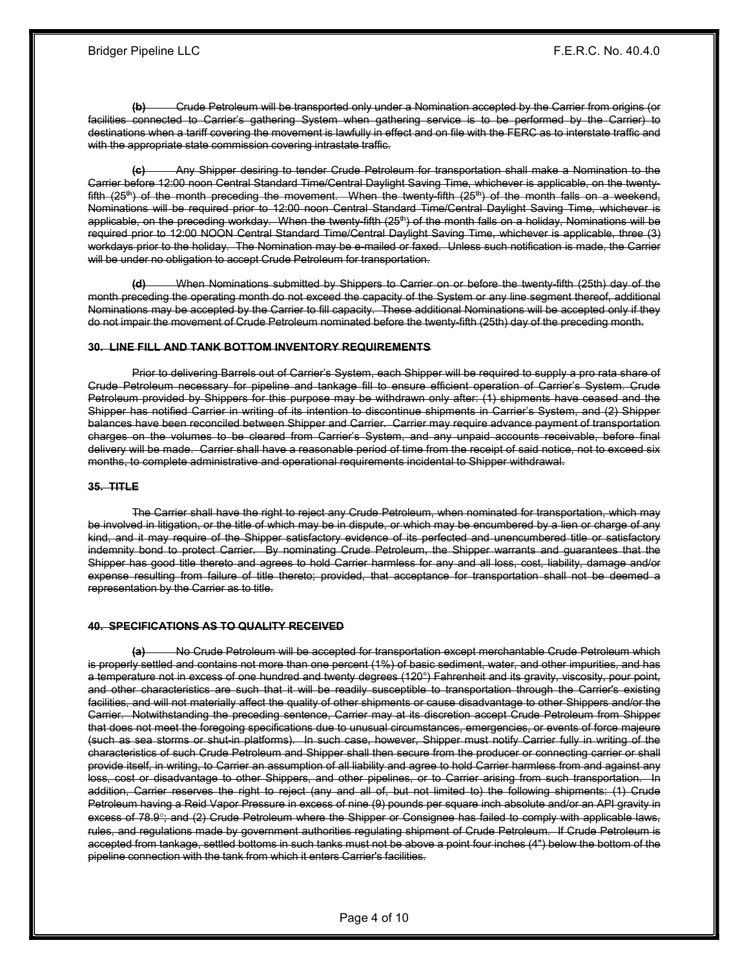(b) Crude Petroleum will be transported only under a Nomination accepted by the Carrier from origins (or facilities connected to Carrier's gathering System when gathering service is to be performed by the Carrier) to destinations when a tariff covering the movement is lawfully in effect and on file with the FERC as to interstate traffic and with the appropriate state commission covering intrastate traffic.

(c) Any Shipper desiring to tender Crude Petroleum for transportation shall make a Nomination to the Carrier before 12:00 noon Central Standard Time/Central Daylight Saving Time, whichever is applicable, on the twentyfifth  $(25<sup>th</sup>)$  of the month preceding the movement. When the twenty-fifth  $(25<sup>th</sup>)$  of the month falls on a weekend, Nominations will be required prior to 12:00 noon Central Standard Time/Central Daylight Saving Time, whichever is applicable, on the preceding workday. When the twenty-fifth (25<sup>th</sup>) of the month falls on a holiday, Nominations will be required prior to 12:00 NOON Central Standard Time/Central Daylight Saving Time, whichever is applicable, three (3) workdays prior to the holiday. The Nomination may be e-mailed or faxed. Unless such notification is made, the Carrier will be under no obligation to accept Crude Petroleum for transportation.

(d) When Nominations submitted by Shippers to Carrier on or before the twenty-fifth (25th) day of the month preceding the operating month do not exceed the capacity of the System or any line segment thereof, additional Nominations may be accepted by the Carrier to fill capacity. These additional Nominations will be accepted only if they do not impair the movement of Crude Petroleum nominated before the twenty-fifth (25th) day of the preceding month.

#### 30. LINE FILL AND TANK BOTTOM INVENTORY REQUIREMENTS

 Prior to delivering Barrels out of Carrier's System, each Shipper will be required to supply a pro rata share of Crude Petroleum necessary for pipeline and tankage fill to ensure efficient operation of Carrier's System. Crude Petroleum provided by Shippers for this purpose may be withdrawn only after: (1) shipments have ceased and the Shipper has notified Carrier in writing of its intention to discontinue shipments in Carrier's System, and (2) Shipper balances have been reconciled between Shipper and Carrier. Carrier may require advance payment of transportation charges on the volumes to be cleared from Carrier's System, and any unpaid accounts receivable, before final delivery will be made. Carrier shall have a reasonable period of time from the receipt of said notice, not to exceed six months, to complete administrative and operational requirements incidental to Shipper withdrawal.

#### 35. TITLE

 The Carrier shall have the right to reject any Crude Petroleum, when nominated for transportation, which may be involved in litigation, or the title of which may be in dispute, or which may be encumbered by a lien or charge of any kind, and it may require of the Shipper satisfactory evidence of its perfected and unencumbered title or satisfactory indemnity bond to protect Carrier. By nominating Crude Petroleum, the Shipper warrants and guarantees that the Shipper has good title thereto and agrees to hold Carrier harmless for any and all loss, cost, liability, damage and/or expense resulting from failure of title thereto; provided, that acceptance for transportation shall not be deemed a representation by the Carrier as to title.

#### 40. SPECIFICATIONS AS TO QUALITY RECEIVED

(a) No Crude Petroleum will be accepted for transportation except merchantable Crude Petroleum which is properly settled and contains not more than one percent (1%) of basic sediment, water, and other impurities, and has a temperature not in excess of one hundred and twenty degrees (120°) Fahrenheit and its gravity, viscosity, pour point, and other characteristics are such that it will be readily susceptible to transportation through the Carrier's existing facilities, and will not materially affect the quality of other shipments or cause disadvantage to other Shippers and/or the Carrier. Notwithstanding the preceding sentence, Carrier may at its discretion accept Crude Petroleum from Shipper that does not meet the foregoing specifications due to unusual circumstances, emergencies, or events of force majeure (such as sea storms or shut-in platforms). In such case, however, Shipper must notify Carrier fully in writing of the characteristics of such Crude Petroleum and Shipper shall then secure from the producer or connecting carrier or shall provide itself, in writing, to Carrier an assumption of all liability and agree to hold Carrier harmless from and against any loss, cost or disadvantage to other Shippers, and other pipelines, or to Carrier arising from such transportation. In addition, Carrier reserves the right to reject (any and all of, but not limited to) the following shipments: (1) Crude Petroleum having a Reid Vapor Pressure in excess of nine (9) pounds per square inch absolute and/or an API gravity in excess of 78.9°; and (2) Crude Petroleum where the Shipper or Consignee has failed to comply with applicable laws, rules, and regulations made by government authorities regulating shipment of Crude Petroleum. If Crude Petroleum is accepted from tankage, settled bottoms in such tanks must not be above a point four inches (4") below the bottom of the pipeline connection with the tank from which it enters Carrier's facilities.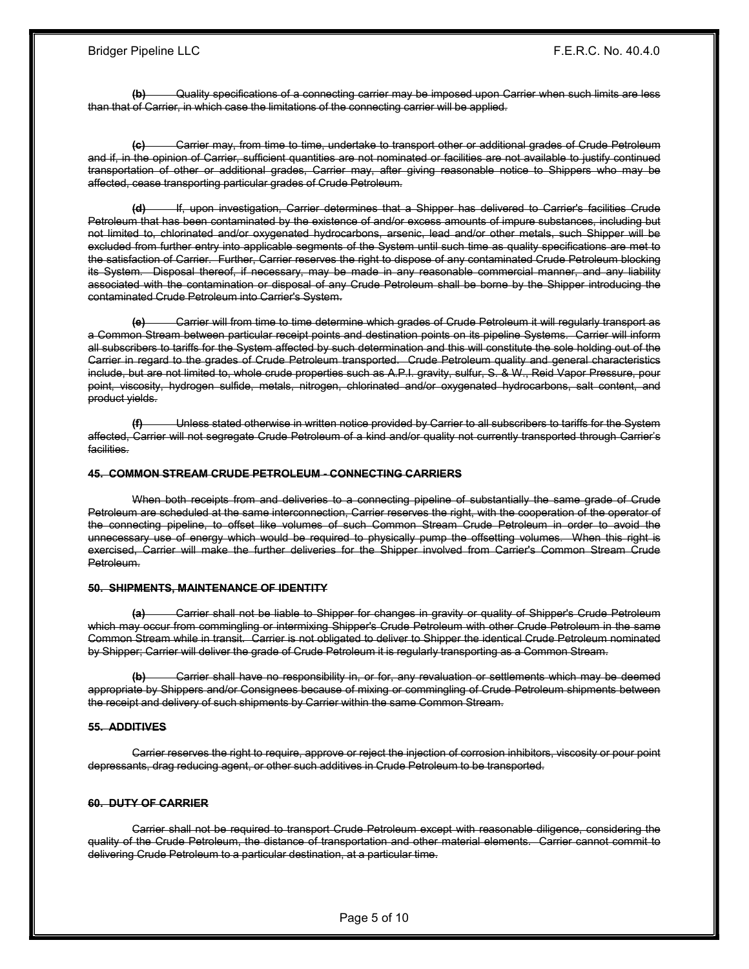(b) Quality specifications of a connecting carrier may be imposed upon Carrier when such limits are less than that of Carrier, in which case the limitations of the connecting carrier will be applied.

(c) Carrier may, from time to time, undertake to transport other or additional grades of Crude Petroleum and if, in the opinion of Carrier, sufficient quantities are not nominated or facilities are not available to justify continued transportation of other or additional grades, Carrier may, after giving reasonable notice to Shippers who may be affected, cease transporting particular grades of Crude Petroleum.

(d) If, upon investigation, Carrier determines that a Shipper has delivered to Carrier's facilities Crude Petroleum that has been contaminated by the existence of and/or excess amounts of impure substances, including but not limited to, chlorinated and/or oxygenated hydrocarbons, arsenic, lead and/or other metals, such Shipper will be excluded from further entry into applicable segments of the System until such time as quality specifications are met to the satisfaction of Carrier. Further, Carrier reserves the right to dispose of any contaminated Crude Petroleum blocking its System. Disposal thereof, if necessary, may be made in any reasonable commercial manner, and any liability associated with the contamination or disposal of any Crude Petroleum shall be borne by the Shipper introducing the contaminated Crude Petroleum into Carrier's System.

(e) Carrier will from time to time determine which grades of Crude Petroleum it will regularly transport as a Common Stream between particular receipt points and destination points on its pipeline Systems. Carrier will inform all subscribers to tariffs for the System affected by such determination and this will constitute the sole holding out of the Carrier in regard to the grades of Crude Petroleum transported. Crude Petroleum quality and general characteristics include, but are not limited to, whole crude properties such as A.P.I. gravity, sulfur, S. & W., Reid Vapor Pressure, pour point, viscosity, hydrogen sulfide, metals, nitrogen, chlorinated and/or oxygenated hydrocarbons, salt content, and product yields.

(f) Unless stated otherwise in written notice provided by Carrier to all subscribers to tariffs for the System affected, Carrier will not segregate Crude Petroleum of a kind and/or quality not currently transported through Carrier's facilities.

#### 45. COMMON STREAM CRUDE PETROLEUM - CONNECTING CARRIERS

 When both receipts from and deliveries to a connecting pipeline of substantially the same grade of Crude Petroleum are scheduled at the same interconnection, Carrier reserves the right, with the cooperation of the operator of the connecting pipeline, to offset like volumes of such Common Stream Crude Petroleum in order to avoid the unnecessary use of energy which would be required to physically pump the offsetting volumes. When this right is exercised, Carrier will make the further deliveries for the Shipper involved from Carrier's Common Stream Crude Petroleum.

#### 50. SHIPMENTS, MAINTENANCE OF IDENTITY

(a) Carrier shall not be liable to Shipper for changes in gravity or quality of Shipper's Crude Petroleum which may occur from commingling or intermixing Shipper's Crude Petroleum with other Crude Petroleum in the same Common Stream while in transit. Carrier is not obligated to deliver to Shipper the identical Crude Petroleum nominated by Shipper; Carrier will deliver the grade of Crude Petroleum it is regularly transporting as a Common Stream.

Carrier shall have no responsibility in, or for, any revaluation or settlements which may be deemed appropriate by Shippers and/or Consignees because of mixing or commingling of Crude Petroleum shipments between the receipt and delivery of such shipments by Carrier within the same Common Stream.

#### 55. ADDITIVES

 Carrier reserves the right to require, approve or reject the injection of corrosion inhibitors, viscosity or pour point depressants, drag reducing agent, or other such additives in Crude Petroleum to be transported.

#### 60. DUTY OF CARRIER

 Carrier shall not be required to transport Crude Petroleum except with reasonable diligence, considering the quality of the Crude Petroleum, the distance of transportation and other material elements. Carrier cannot commit to delivering Crude Petroleum to a particular destination, at a particular time.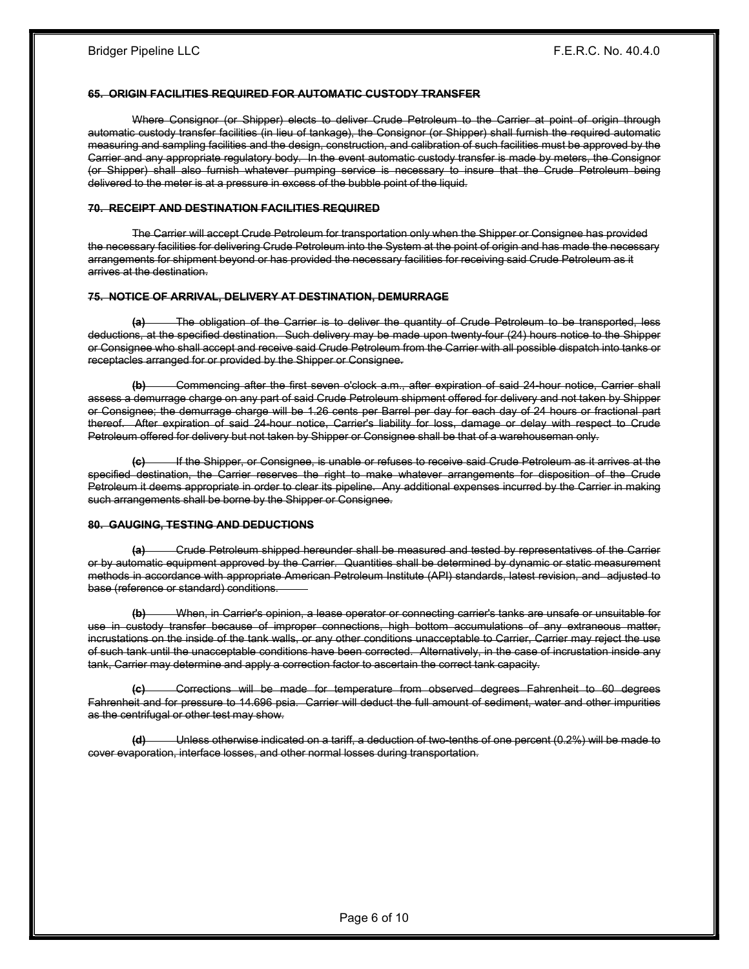#### 65. ORIGIN FACILITIES REQUIRED FOR AUTOMATIC CUSTODY TRANSFER

 Where Consignor (or Shipper) elects to deliver Crude Petroleum to the Carrier at point of origin through automatic custody transfer facilities (in lieu of tankage), the Consignor (or Shipper) shall furnish the required automatic measuring and sampling facilities and the design, construction, and calibration of such facilities must be approved by the Carrier and any appropriate regulatory body. In the event automatic custody transfer is made by meters, the Consignor (or Shipper) shall also furnish whatever pumping service is necessary to insure that the Crude Petroleum being delivered to the meter is at a pressure in excess of the bubble point of the liquid.

#### 70. RECEIPT AND DESTINATION FACILITIES REQUIRED

 The Carrier will accept Crude Petroleum for transportation only when the Shipper or Consignee has provided the necessary facilities for delivering Crude Petroleum into the System at the point of origin and has made the neces arrangements for shipment beyond or has provided the necessary facilities for receiving said Crude Petroleum as it arrives at the destination.

#### 75. NOTICE OF ARRIVAL, DELIVERY AT DESTINATION, DEMURRAGE

(a) The obligation of the Carrier is to deliver the quantity of Crude Petroleum to be transported, less deductions, at the specified destination. Such delivery may be made upon twenty-four (24) hours notice to the Shipper or Consignee who shall accept and receive said Crude Petroleum from the Carrier with all possible dispatch into tanks or receptacles arranged for or provided by the Shipper or Consignee.

(b) Commencing after the first seven o'clock a.m., after expiration of said 24-hour notice, Carrier shall assess a demurrage charge on any part of said Crude Petroleum shipment offered for delivery and not taken by Shipper or Consignee; the demurrage charge will be 1.26 cents per Barrel per day for each day of 24 hours or fractional part thereof. After expiration of said 24-hour notice, Carrier's liability for loss, damage or delay with respect to Crude Petroleum offered for delivery but not taken by Shipper or Consignee shall be that of a warehouseman only.

(c) If the Shipper, or Consignee, is unable or refuses to receive said Crude Petroleum as it arrives at the specified destination, the Carrier reserves the right to make whatever arrangements for disposition of the Crude Petroleum it deems appropriate in order to clear its pipeline. Any additional expenses incurred by the Carrier in making such arrangements shall be borne by the Shipper or Consignee.

#### 80. GAUGING, TESTING AND DEDUCTIONS

(a) Crude Petroleum shipped hereunder shall be measured and tested by representatives of the Carrier or by automatic equipment approved by the Carrier. Quantities shall be determined by dynamic or static measurement methods in accordance with appropriate American Petroleum Institute (API) standards, latest revision, and adjusted to base (reference or standard) conditions.

(b) When, in Carrier's opinion, a lease operator or connecting carrier's tanks are unsafe or unsuitable for use in custody transfer because of improper connections, high bottom accumulations of any extraneous matter, incrustations on the inside of the tank walls, or any other conditions unacceptable to Carrier, Carrier may reject the use of such tank until the unacceptable conditions have been corrected. Alternatively, in the case of incrustation inside any tank, Carrier may determine and apply a correction factor to ascertain the correct tank capacity.

(c) Corrections will be made for temperature from observed degrees Fahrenheit to 60 degrees Fahrenheit and for pressure to 14.696 psia. Carrier will deduct the full amount of sediment, water and other impurities as the centrifugal or other test may show.

(d) Unless otherwise indicated on a tariff, a deduction of two-tenths of one percent (0.2%) will be made to cover evaporation, interface losses, and other normal losses during transportation.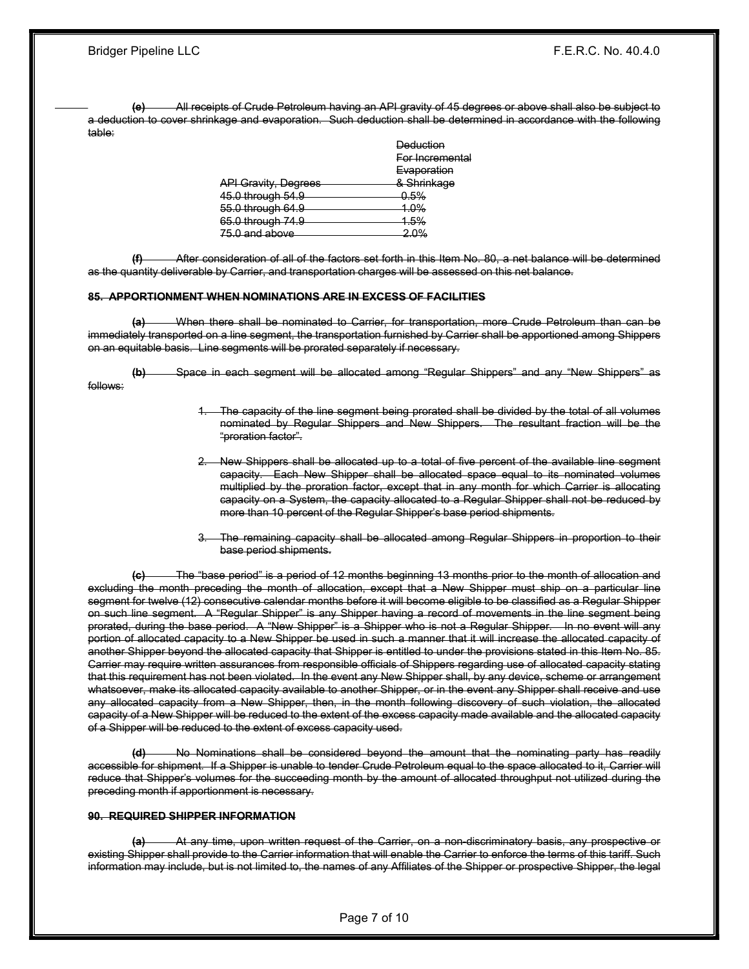(e) All receipts of Crude Petroleum having an API gravity of 45 degrees or above shall also be subject to a deduction to cover shrinkage and evaporation. Such deduction shall be determined in accordance with the following table:

|                                    | <b>Deduction</b>   |
|------------------------------------|--------------------|
|                                    | For Incremental    |
|                                    | Evaporation        |
| <b>API Gravity, Degrees</b>        | & Shrinkage        |
| 45.0 through 54.9                  | <del>0.5%</del>    |
| 55.0 through 64.9                  | <b>1.0%</b>        |
| 65.0 through 74.9                  | 1.5%               |
| $\sim$<br><del>, o anu upovo</del> | $\Omega$ %<br>7. ت |
|                                    |                    |

After consideration of all of the factors set forth in this Item No. 80, a net balance will be determined as the quantity deliverable by Carrier, and transportation charges will be assessed on this net balance.

#### 85. APPORTIONMENT WHEN NOMINATIONS ARE IN EXCESS OF FACILITIES

(a) When there shall be nominated to Carrier, for transportation, more Crude Petroleum than can be immediately transported on a line segment, the transportation furnished by Carrier shall be apportioned among Shippers on an equitable basis. Line segments will be prorated separately if necessary.

(b) Space in each segment will be allocated among "Regular Shippers" and any "New Shippers" as follows:

- The capacity of the line segment being prorated shall be divided by the total of all volumes nominated by Regular Shippers and New Shippers. The resultant fraction will be the "proration factor".
- 2. New Shippers shall be allocated up to a total of five percent of the available line segment capacity. Each New Shipper shall be allocated space equal to its nominated volumes multiplied by the proration factor, except that in any month for which Carrier is allocating capacity on a System, the capacity allocated to a Regular Shipper shall not be reduced by more than 10 percent of the Regular Shipper's base period shipments.
- The remaining capacity shall be allocated among Regular Shippers in proportion to their base period shipments.

(c) The "base period" is a period of 12 months beginning 13 months prior to the month of allocation and excluding the month preceding the month of allocation, except that a New Shipper must ship on a particular line segment for twelve (12) consecutive calendar months before it will become eligible to be classified as a Regular Shipper on such line segment. A "Regular Shipper" is any Shipper having a record of movements in the line segment being prorated, during the base period. A "New Shipper" is a Shipper who is not a Regular Shipper. In no event will any portion of allocated capacity to a New Shipper be used in such a manner that it will increase the allocated capacity of another Shipper beyond the allocated capacity that Shipper is entitled to under the provisions stated in this Item No. 85. Carrier may require written assurances from responsible officials of Shippers regarding use of allocated capacity stating that this requirement has not been violated. In the event any New Shipper shall, by any device, scheme or arrangement whatsoever, make its allocated capacity available to another Shipper, or in the event any Shipper shall receive and use any allocated capacity from a New Shipper, then, in the month following discovery of such violation, the allocated capacity of a New Shipper will be reduced to the extent of the excess capacity made available and the allocated capacity of a Shipper will be reduced to the extent of excess capacity used.

(d) No Nominations shall be considered beyond the amount that the nominating party has readily accessible for shipment. If a Shipper is unable to tender Crude Petroleum equal to the space allocated to it, Carrier will reduce that Shipper's volumes for the succeeding month by the amount of allocated throughput not utilized during the preceding month if apportionment is necessary.

#### 90. REQUIRED SHIPPER INFORMATION

(a) At any time, upon written request of the Carrier, on a non-discriminatory basis, any prospective or existing Shipper shall provide to the Carrier information that will enable the Carrier to enforce the terms of this tariff. Such information may include, but is not limited to, the names of any Affiliates of the Shipper or prospective Shipper, the legal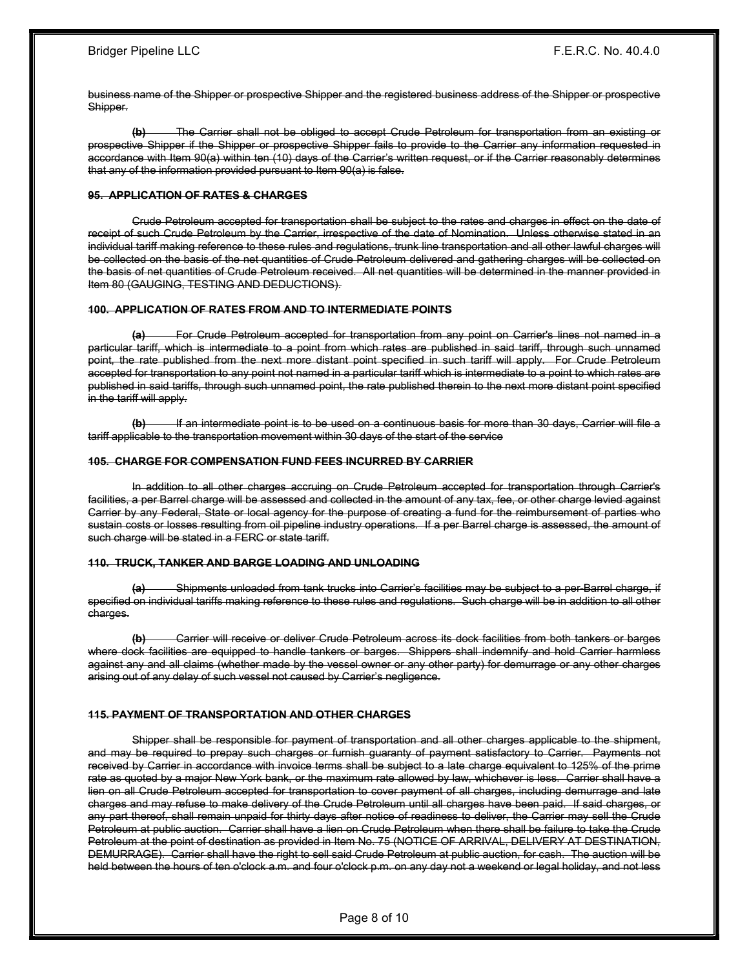business name of the Shipper or prospective Shipper and the registered business address of the Shipper or prospective Shipper.

(b) The Carrier shall not be obliged to accept Crude Petroleum for transportation from an existing or prospective Shipper if the Shipper or prospective Shipper fails to provide to the Carrier any information requested in accordance with Item 90(a) within ten (10) days of the Carrier's written request, or if the Carrier reasonably determines that any of the information provided pursuant to Item 90(a) is false.

#### 95. APPLICATION OF RATES & CHARGES

 Crude Petroleum accepted for transportation shall be subject to the rates and charges in effect on the date of receipt of such Crude Petroleum by the Carrier, irrespective of the date of Nomination. Unless otherwise stated in an individual tariff making reference to these rules and regulations, trunk line transportation and all other lawful charges will be collected on the basis of the net quantities of Crude Petroleum delivered and gathering charges will be collected on the basis of net quantities of Crude Petroleum received. All net quantities will be determined in the manner provided in Item 80 (GAUGING, TESTING AND DEDUCTIONS).

#### 100. APPLICATION OF RATES FROM AND TO INTERMEDIATE POINTS

(a) For Crude Petroleum accepted for transportation from any point on Carrier's lines not named in a particular tariff, which is intermediate to a point from which rates are published in said tariff, through such unnamed point, the rate published from the next more distant point specified in such tariff will apply. For Crude Petroleum accepted for transportation to any point not named in a particular tariff which is intermediate to a point to which rates are published in said tariffs, through such unnamed point, the rate published therein to the next more distant point specified in the tariff will apply.

(b) If an intermediate point is to be used on a continuous basis for more than 30 days, Carrier will file a tariff applicable to the transportation movement within 30 days of the start of the service

#### 105. CHARGE FOR COMPENSATION FUND FEES INCURRED BY CARRIER

 In addition to all other charges accruing on Crude Petroleum accepted for transportation through Carrier's facilities, a per Barrel charge will be assessed and collected in the amount of any tax, fee, or other charge levied against Carrier by any Federal, State or local agency for the purpose of creating a fund for the reimbursement of parties who sustain costs or losses resulting from oil pipeline industry operations. If a per Barrel charge is assessed, the amount of such charge will be stated in a FERC or state tariff.

#### 110. TRUCK, TANKER AND BARGE LOADING AND UNLOADING

(a) Shipments unloaded from tank trucks into Carrier's facilities may be subject to a per-Barrel charge, if specified on individual tariffs making reference to these rules and regulations. Such charge will be in addition to all other charges.

(b) Carrier will receive or deliver Crude Petroleum across its dock facilities from both tankers or barges where dock facilities are equipped to handle tankers or barges. Shippers shall indemnify and hold Carrier harmless against any and all claims (whether made by the vessel owner or any other party) for demurrage or any other charges arising out of any delay of such vessel not caused by Carrier's negligence.

#### 115. PAYMENT OF TRANSPORTATION AND OTHER CHARGES

 Shipper shall be responsible for payment of transportation and all other charges applicable to the shipment, and may be required to prepay such charges or furnish guaranty of payment satisfactory to Carrier. Payments not received by Carrier in accordance with invoice terms shall be subject to a late charge equivalent to 125% of the prime rate as quoted by a major New York bank, or the maximum rate allowed by law, whichever is less. Carrier shall have a lien on all Crude Petroleum accepted for transportation to cover payment of all charges, including demurrage and late charges and may refuse to make delivery of the Crude Petroleum until all charges have been paid. If said charges, or any part thereof, shall remain unpaid for thirty days after notice of readiness to deliver, the Carrier may sell the Crude Petroleum at public auction. Carrier shall have a lien on Crude Petroleum when there shall be failure to take the Crude Petroleum at the point of destination as provided in Item No. 75 (NOTICE OF ARRIVAL, DELIVERY AT DESTINATION, DEMURRAGE). Carrier shall have the right to sell said Crude Petroleum at public auction, for cash. The auction will be held between the hours of ten o'clock a.m. and four o'clock p.m. on any day not a weekend or legal holiday, and not less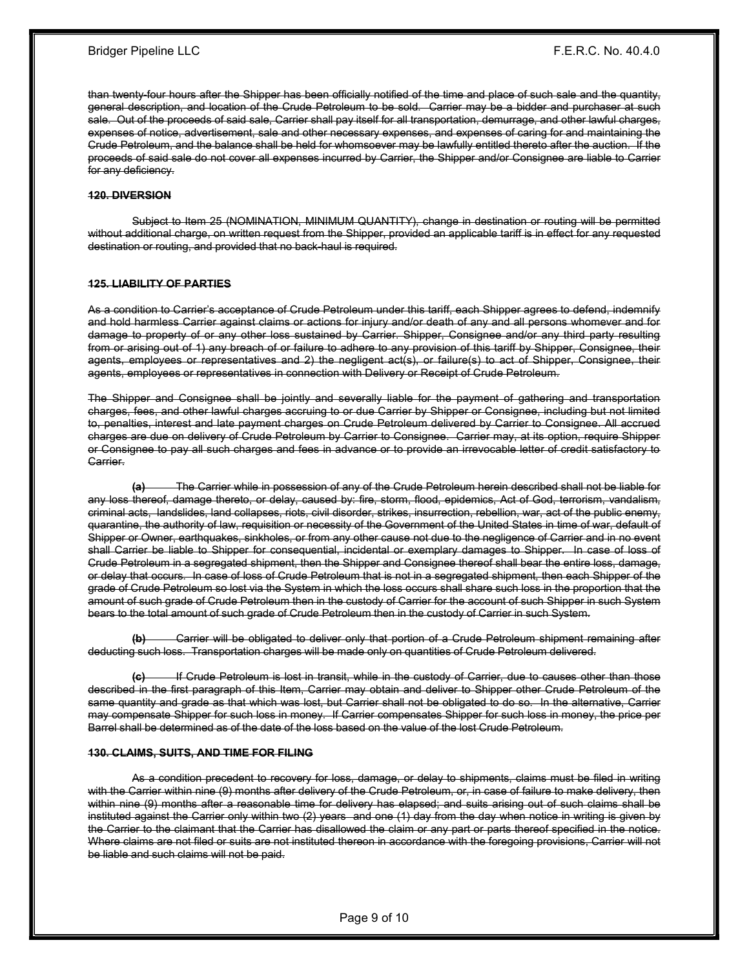than twenty-four hours after the Shipper has been officially notified of the time and place of such sale and the quantity, general description, and location of the Crude Petroleum to be sold. Carrier may be a bidder and purchaser at such sale. Out of the proceeds of said sale, Carrier shall pay itself for all transportation, demurrage, and other lawful charges, expenses of notice, advertisement, sale and other necessary expenses, and expenses of caring for and maintaining the Crude Petroleum, and the balance shall be held for whomsoever may be lawfully entitled thereto after the auction. If the proceeds of said sale do not cover all expenses incurred by Carrier, the Shipper and/or Consignee are liable to Carrier for any deficiency.

#### 120. DIVERSION

 Subject to Item 25 (NOMINATION, MINIMUM QUANTITY), change in destination or routing will be permitted without additional charge, on written request from the Shipper, provided an applicable tariff is in effect for any requested destination or routing, and provided that no back-haul is required.

#### 125. LIABILITY OF PARTIES

As a condition to Carrier's acceptance of Crude Petroleum under this tariff, each Shipper agrees to defend, indemnify and hold harmless Carrier against claims or actions for injury and/or death of any and all persons whomever and for damage to property of or any other loss sustained by Carrier. Shipper, Consignee and/or any third party resulting from or arising out of 1) any breach of or failure to adhere to any provision of this tariff by Shipper, Consignee, their agents, employees or representatives and 2) the negligent act(s), or failure(s) to act of Shipper, Consignee, their agents, employees or representatives in connection with Delivery or Receipt of Crude Petroleum.

The Shipper and Consignee shall be jointly and severally liable for the payment of gathering and transportation charges, fees, and other lawful charges accruing to or due Carrier by Shipper or Consignee, including but not limited to, penalties, interest and late payment charges on Crude Petroleum delivered by Carrier to Consignee. All accrued charges are due on delivery of Crude Petroleum by Carrier to Consignee. Carrier may, at its option, require Shipper or Consignee to pay all such charges and fees in advance or to provide an irrevocable letter of credit satisfactory to Carrier.

(a) The Carrier while in possession of any of the Crude Petroleum herein described shall not be liable for any loss thereof, damage thereto, or delay, caused by: fire, storm, flood, epidemics, Act of God, terrorism, vandalism, criminal acts, landslides, land collapses, riots, civil disorder, strikes, insurrection, rebellion, war, act of the public enemy, quarantine, the authority of law, requisition or necessity of the Government of the United States in time of war, default of Shipper or Owner, earthquakes, sinkholes, or from any other cause not due to the negligence of Carrier and in no event shall Carrier be liable to Shipper for consequential, incidental or exemplary damages to Shipper. In case of loss of Crude Petroleum in a segregated shipment, then the Shipper and Consignee thereof shall bear the entire loss, damage, or delay that occurs. In case of loss of Crude Petroleum that is not in a segregated shipment, then each Shipper of the grade of Crude Petroleum so lost via the System in which the loss occurs shall share such loss in the proportion that the amount of such grade of Crude Petroleum then in the custody of Carrier for the account of such Shipper in such System bears to the total amount of such grade of Crude Petroleum then in the custody of Carrier in such System.

Carrier will be obligated to deliver only that portion of a Crude Petroleum shipment remaining after deducting such loss. Transportation charges will be made only on quantities of Crude Petroleum delivered.

If Crude Petroleum is lost in transit, while in the custody of Carrier, due to causes other than those described in the first paragraph of this Item, Carrier may obtain and deliver to Shipper other Crude Petroleum of the same quantity and grade as that which was lost, but Carrier shall not be obligated to do so. In the alternative, Carrier may compensate Shipper for such loss in money. If Carrier compensates Shipper for such loss in money, the price per Barrel shall be determined as of the date of the loss based on the value of the lost Crude Petroleum.

#### 130. CLAIMS, SUITS, AND TIME FOR FILING

 As a condition precedent to recovery for loss, damage, or delay to shipments, claims must be filed in writing with the Carrier within nine (9) months after delivery of the Crude Petroleum, or, in case of failure to make delivery, then within nine (9) months after a reasonable time for delivery has elapsed; and suits arising out of such claims shall be instituted against the Carrier only within two (2) years and one (1) day from the day when notice in writing is given by the Carrier to the claimant that the Carrier has disallowed the claim or any part or parts thereof specified in the notice. Where claims are not filed or suits are not instituted thereon in accordance with the foregoing provisions, Carrier will not be liable and such claims will not be paid.